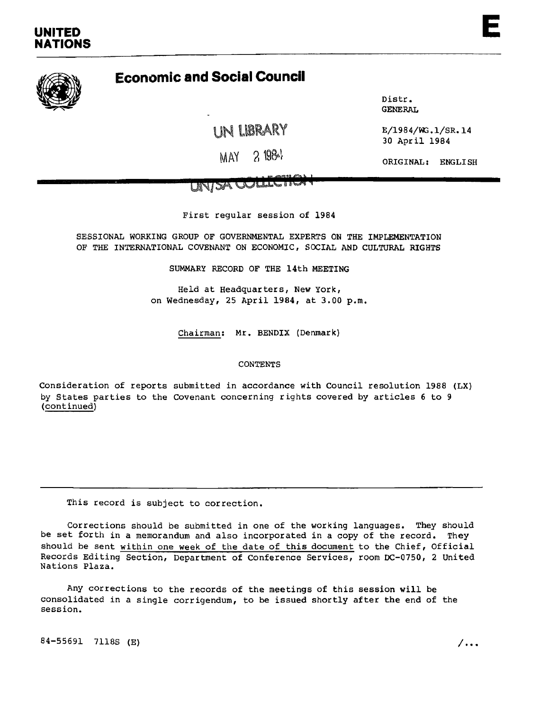# **Economic and Social Council**

UN liBRARY

GENERAL

Distr.

<sup>30</sup> Apr il <sup>1984</sup>

ORIGINAL: ENGLISH

First regular session of 1984

SESSIONAL WORKING GROUP OF GOVERNMENTAL EXPERTS ON THE IMPLEMENTATION OF THE INTERNATIONAL COVENANT ON ECONOMIC, SOCIAL AND CULTURAL RIGHTS

SUMMARY RECORD OF THE 14th MEETING

Held at Headquarters, New York, on Wednesday, 25 April 1984, at 3.00 p.m.

Chairman: Mr. BENDIX (Denmark)

## CONTENTS

Consideration of reports submitted in accordance with Council resolution 1988 (LX) by States parties to the Covenant concerning rights covered by articles 6 to 9 (continued)

This record is subject to correction.

Corrections should be submitted in one of the working languages. They should be set forth in a memorandum and also incorporated in a copy of the record. They should be sent within one week of the date of this document to the Chief, Official Records Editing Section, Department of Conference Services, room DC-0750, 2 United Nations Plaza.

Any corrections to the records ot the meetings of this session will be consolidated in a single corrigendum, to be issued shortly after the end of the session.

 $84-55691$  7118S (E)  $/ \ldots$ 

E

E/1984/WG.l/SR.14

MAY 2 1984

MAI ORIGINAL: ENGLISH<br>UNISA OOLLECTICH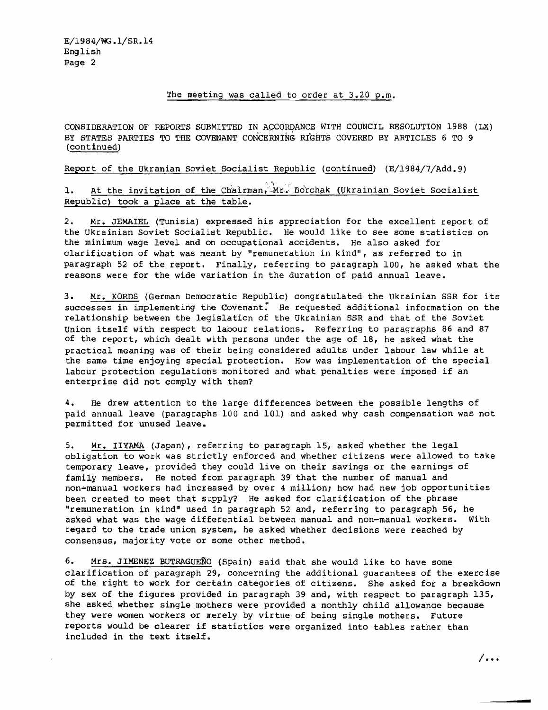# The meeting was called to order at 3.20 p.m.

CONSIDERATION OF REPORTS SUBMITTED IN ACCORDANCE WITH COUNCIL RESOLUTION 1988 (LX) BY STATES PARTIES TO THE COVENANT CONCERNING: RIGHTS COVERED BY ARTICLES 6 TO 9 (continued)

Report of the Ukranian Soviet Socialist Republic (continued) (E/l984/7/Add.9)

1. At the invitation of the Chairman, Mr. Borchak (Ukrainian Soviet Socialist Republic) took a place at the table.

2. Mr. JEMAIEL (Tunisia) expressed his appreciation for the excellent report of the Ukrainian Soviet Socialist Republic. He would like to see some statistics on the minimum wage level and on occupational accidents. He also asked for clarification of what was meant by "remuneration in kind", as referred to in paragraph 52 of the report. Finally, referring to paragraph 100, he asked what the reasons were for the wide variation in the duration of paid annual leave.

3. Mr. KORDS (German Democratic Republic) congratulated the Ukrainian SSR for its successes in implementing the Covenant. He requested additional information on the relationship between the legislation of the Ukrainian SSR and that of the Soviet Union itself with respect to labour relations. Referring to paragraphs 86 and 87 of the report, which dealt with persons under the age of 18, he asked what the practical meaning was of their being considered adults under labour law while at the same time enjoying special protection. How was implementation of the special labour protection regulations monitored and what penalties were imposed if an enterprise did not comply with them?

4. He drew attention to the large differences between the possible lengths of paid annual leave (paragraphs 100 and 101) and asked why cash compensation was not permitted for unused leave.

5. Mr. IIYAMA (Japan), referring to paragraph 15, asked whether the legal obligation to work was strictly enforced and. whether citizens were allowed to take temporary leave, provided they could live on their savings or the earnings of family members. He noted from paragraph 39 that the number of manual and non-manual workers had increased by over 4 million; how had new job opportunities been created to meet that supply? He asked for clarification of the phrase "remuneration in kind" used in paragraph 52 and, referring to paragraph 56, he asked what was the wage differential between manual and non-manual workers. With regard to the trade union system, he asked whether decisions were reached by consensus, majority vote or some other method.

6. Mrs. JIMENEZ BUTRAGUERO (Spain) said that she would like to have some clarification of paragraph 29, concerning the additional guarantees of the exercise of the right to work for certain categories of citizens. She asked for a breakdown by sex of the figures provided in paragraph 39 and, with respect to paragraph 135, she asked whether single mothers were provided a monthly child allowance because they were women workers or merely by virtue of being single mothers. Future reports would be clearer if statistics were organized into tables rather than included in the text itself.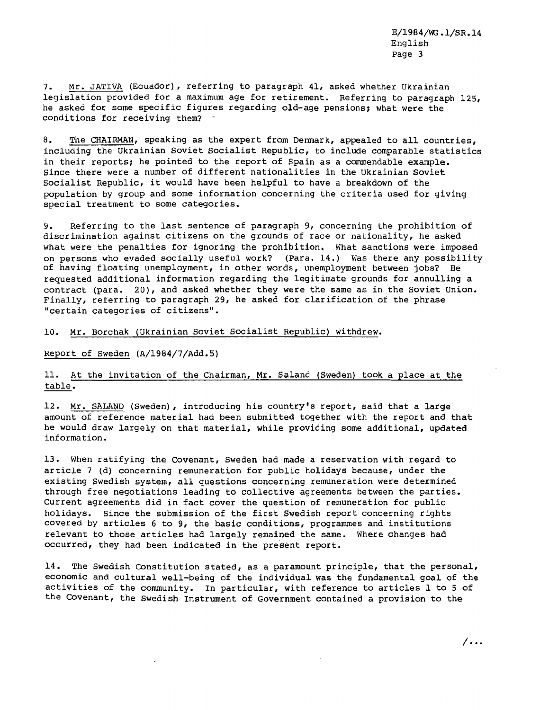7. Mr. JATIVA (Ecuador), referring to paragraph 41, asked whether Ukrainian legislation provided for a maximum age for retirement. Referring to paragraph 125, he asked for some specific figures regarding old-age pensions; what were the conditions for receiving them?

8. The CHAIRMAN, speaking as the expert from Denmark, appealed to all countries, including the Ukrainian Soviet Socialist Republic, to include comparable statistics in their reports; he pointed to the report of Spain as a commendable example. Since there were a number of different nationalities in the Ukrainian Soviet Socialist RepUblic, it would have been helpful to have <sup>a</sup> breakdown of the population by group and some information concerning the criteria used for giving special treatment to some categories.

9. Referring to the last sentence of paragraph 9, concerning the prohibition of discrimination against citizens on the grounds of race or nationality, he asked what were the penalties for ignoring the prohibition. What sanctions were imposed on persons who evaded socially useful work? (Para. 14.) Was there any possibility of having floating unemployment, in other words, unemployment between jobs? He requested additional information regarding the legitimate grounds for annulling a contract (para. 20), and asked whether they were the same as in the Soviet Union. Finally, referring to paragraph 29, he asked for clarification of the phrase "certain categories of citizens".

10. Mr. Borchak (Ukrainian Soviet Socialist Republic) withdrew.

Report of Sweden (A/1984/7/Add.5)

# 11. At the invitation of the Chairman, Mr. Saland (Sweden) took a place at the table.

12. Mr. SALAND (Sweden), introducing his country's report, said that a large amount of reference material had been submitted together with the report and that he would draw largely on that material, while providing some additional, updated information.

13. When ratifying the Covenant, Sweden had made a reservation with regard to article 7 (d) concerning remuneration for public holidays because, under the existing Swedish system, all questions concerning remuneration were determined through free negotiations leading to collective agreements between the parties. Current agreements did in fact cover the question of remuneration for public holidays. Since the submission of the first Swedish report concerning rights covered by articles 6 to 9, the basic conditions, programmes and institutions relevant to those articles had largely remained the same. Where changes had occurred, they had been indicated in the present report.

14. The Swedish Constitution stated, as a paramount principle, that the personal, economic and cultural well-being of the individual was the fundamental goal of the activities of the community. In particular, with reference to articles 1 to 5 of the Covenant, the Swedish Instrument of Government contained a provision to the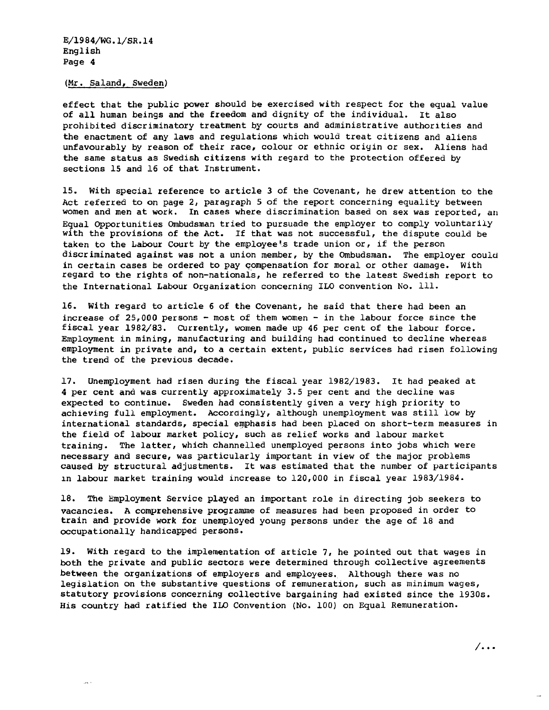(Mr. Saland, Sweden)

 $\bar{\omega}_\mathrm{N}$  :

effect that the public power should be exercised with respect for the equal value of all human beings and the freedom and dignity of the individual. It also prohibited discriminatory treatment by courts and administrative authorities and the enactment of any laws and regulations which would treat citizens and aliens unfavourably by reason of their race, colour or ethnic oriyin or sex. Aliens had the same status as Swedish citizens with regard to the protection offered by sections 15 and 16 of that Instrument.

15. With special reference to article 3 of the Covenant, he drew attention to the Act referred to on page 2, paragraph 5 of the report concerning equality between women and men at work. In cases where discrimination based on sex was reported, an Equal Opportunities Ombudsman tried to pursuade the employer to comply voluntarily with the provisions of the Act. If that was not successful, the dispute could be taken to the Labour Court by the employee's trade union or, if the person discriminated against was not a union member, by the Ombudsman. The employer could in certain cases be ordered to pay compensation for moral or other damage. With regard to the rights of non-nationals, he referred to the latest Swedish report to the International Labour Organization concerning ILO convention No. Ill.

16. With regard to article 6 of the Covenant, he said that there had been an increase of  $25,000$  persons - most of them women - in the labour force since the fiscal year *1982/83.* Currently, women made up 46 per cent of the labour force. Employment in mining, manufacturing and building had continued to decline whereas employment in private and, to a certain extent, public services had risen following the trend of the previous decade.

17. Unemployment had risen during the fiscal year 1982/1983. It had peaked at 4 per cent and was currently approximately 3.5 per cent and the decline was expected to continue. Sweden had consistently given a very *high* priority to achieving full employment. Accoraingly, although unemployment was still low by international standards, special emphasis had been placed on short-term measures in the field of labour market policy, such as relief works and labour market training. The latter, which channelled unemployed persons into jobs which were necessary and secure, was particularly important in view of the major problems caused by structural adjustments. It was estimated that the number of participants 1n labour market training would increase to *120 / 000* in fiscal year *1983/1984.*

18. The Employment Service played an important role in directing job seekers to vacancies. A comprehensive programme of measures had been proposed in order to train and provide work for unemployed young persons under the age of 18 and occupationally handicapped persons.

19. With regard to the implementation of article *7 <sup>1</sup>* he pointed out that wages in both the private and public sectors were determined through collective agreements between the organizations of employers and employees. Although there was no legislation on the substantive questions of remuneration, such as minimum wages, statutory provisions concerning collective bargaining had existed since the 1930s. *His* country had ratified the 110 Convention (No. 100) on Equal Remuneration.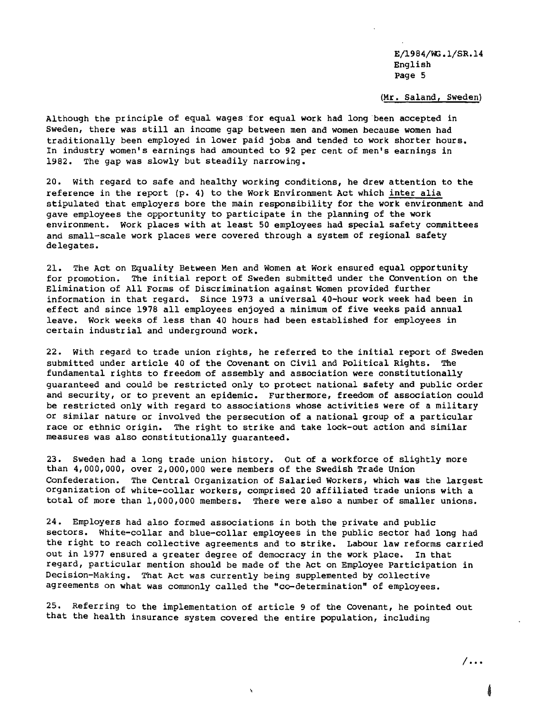## (Mr. Saland, Sweden)

Although the principle of equal wages for equal work had long·been accepted in Sweden, there was still an income gap between men and women because women had traditionally been employed in lower paid jobs and tended to work shorter hours. In industry women's earnings had amounted to 92 per cent of men's earnings in 1982. The gap was slowly but steadily narrowing.

20. with regard to safe and healthy working conditions, he drew attention to the reference in the report (p. 4) to the Work Environment Act which inter alia stipulated that employers bore the main responsibility for the work environment and gave employees the opportunity to participate in the planning of the work environment. Work places with at least 50 employees had special safety committees and small-scale work places were covered through a system of regional safety delegates.

21. The Act on Equality Between Men and Women at Work ensured equal opportunity for promotion. The initial report of Sweden submitted under the Convention on the Elimination of All Forms of Discrimination against Women provided further information in that regard. Since 1973 a universal 40-hour work week had been in effect and since <sup>1978</sup> all employees enjoyed <sup>a</sup> minimum of five weeks paid annual leave. Work weeks of less than 40 hours had been established for employees in certain industrial and underground work.

22. with regard to trade union rights, he referred to the initial report of Sweden submitted under article 40 of the Covenant on Civil and Political Rights. The fundamental rights to freedom of assembly and association were constitutionally guaranteed and could be restricted only to protect national safety and pUblic order and security, or to prevent an epidemic. Furthermore, freedom of association could be restricted only with regard to associations whose activities were of a military or similar nature or involved the persecution of a national group of a particular race or ethnic origin. The right to strike and take lock-out action and similar measures was also constitutionally guaranteed.

23. Sweden had a long trade union history. Out of a workforce of slightly more than 4,000,000, over 2,000,000 were members of the Swedish Trade Union Confederation. The Central Organization of Salaried Workers, which was the largest organization of white-collar workers, comprised 20 affiliated trade unions with a total of more than 1,000,000 members. There were also a number of smaller unions.

24. Employers had also formed associations in both the private and public sectors. White-collar and blue-collar employees in the public sector had long had the right to reach collective agreements and to strike. Labour law reforms carried out in 1977 ensured a greater degree of democracy in the work place. In that regard, particular mention should be made of the Act on Employee Participation in Decision-Making. That Act was currently being supplemented by collective agreements on what was commonly called the "co-determination" of employees.

25. Referring to the implementation of article 9 of the Covenant, he pointed out that the health insurance system covered the entire population, including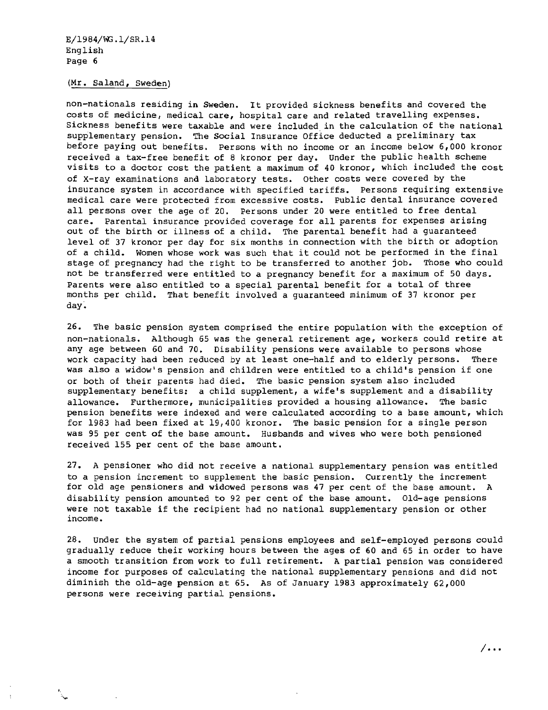## (Mr. Saland, Sweden)

non-nationals residing in Sweden. It provided sickness benefits and covered the costs of medicine, medical care, hospital care and related travelling expenses. Sickness benefits were taxable and were included in the calculation of the national supplementary pension. The Social Insurance Office deducted a preliminary tax before paying out benefits. Persons with no income or an income below 6,000 kronor received a tax-free benefit of 8 kronor per day. Under the public health scheme visits to a doctor cost the patient a maximum of 40 kronor, which included the cost of X-ray examinations and laboratory tests. Other costs were covered by the insurance system in accordance with specified tariffs. Persons requiring extensive medical care were protected from excessive costs. Public dental insurance covered all persons over the age of 20. Persons under <sup>20</sup> were entitled to free dental care. Parental insurance provided coverage for all parents for expenses arising out of the birth or illness of a child. The parental benefit had a guaranteed level of 37 kronor per day for six months in connection with the birth or adoption of <sup>a</sup> child. Women whose work was such that it could not be performed in the final stage of pregnancy had the right to be transferred to another job. Those who could not be transferred were entitled to a pregnancy benefit for a maximum of 50 days. Parents were also entitled to a special parental benefit for a total of three months per child. That benefit involved a guaranteed minimum of 37 kronor per day.

26. The basic pension system comprised the entire population with the exception of non-nationals. Although 65 was the general retirement age, workers could retire at any age between 60 and 70. Disability pensions were available to persons whose<br>work capacity had been reduced by at least one-half and to elderly persons. There work capacity had been reduced by at least one-half and to elderly persons. was also <sup>a</sup> widow's pension and children were entitled to <sup>a</sup> child's pension if one or both of their parents had died. The basic pension system also included supplementary benefits: a child supplement, a wife's supplement and a disability allowance. Furthermore, municipalities provided a housing allowance. The basic pension benefits were indexed and were calculated according to a base amount, which for 1983 had been fixed at 19,400 kronor. The basic pension for a single person was 95 per cent of the base amount. Husbands and wives who were both pensioned received 155 per cent of the base amount.

27. A pensioner who did not receive a national supplementary pension was entitled to a pension increment to supplement the basic pension. currently the increment for old age pensioners and widowed persons was 47 per cent of the base amount. A disability pension amounted to 92 per cent of the base amount. Old-age pensions were not taxable if the recipient had no national supplementary pension or other income.

28. Under the system of partial pensions employees and self-employed persons could gradually reduce their working hours between the ages of 60 and 65 in order to have a smooth transition from work to full retirement. A partial pension was considered income for purposes of calculating the national supplementary pensions and did not diminish the old-age pension at 65. As of January 1983 approximately 62,000 persons were receiving partial pensions.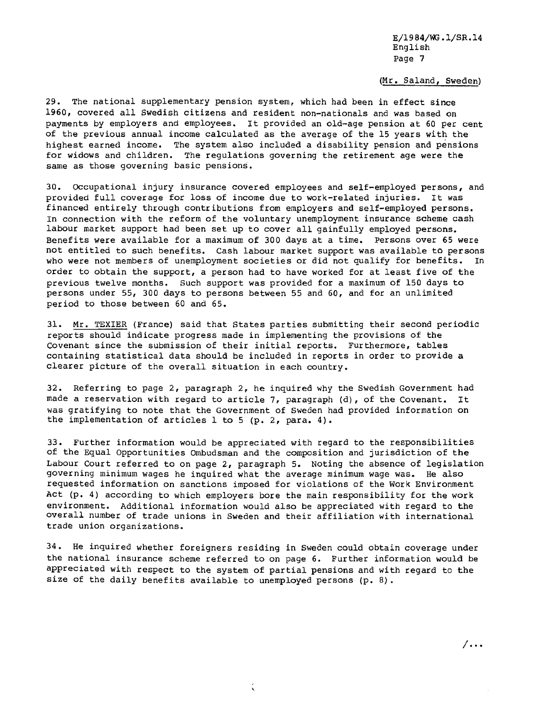#### (Mr. Saland, Sweden)

29. The national supplementary pension system, which had been in effect since 1960, covered all Swedish citizens and resident non-nationals and was based on payments by employers and employees. It provided an old-age pension at <sup>60</sup> per cent of the previous annual income calculated as the average of the 15 years with the highest earned income. The system also included a disability pension and pensions for widows and children. The regulations governing the retirement age were the same as those governing basic pensions.

30. OCcupational injury insurance covered employees and self-employed persons, and provided full coverage for loss of income due to work-related injuries. It was financed entirely through contributions from employers and self-employed persons. In connection with the reform of the voluntary unemployment insurance scheme cash labour market support had been set up to cover all gainfully employed persons. Benefits were available for a maximum of 300 days at a time. Persons over 65 were not entitled to such benefits. Cash labour market support was available to persons who were not members of unemployment societies or did not qualify for benefits. In order to obtain the support, a person had to have worked for at least five of the previous twelve months. Such support was provided for a maximum of 150 days to persons under 55, 300 days to persons between 55 and 60, and for an unlimited period to those between 60 and 65.

31. Mr. TEXIER (France) said that States parties submitting their second periodic reports should indicate progress made in implementing the provisions of the Covenant since the submission of their initial reports. Furthermore, tables containing statistical data should be included in reports in order to provide a clearer picture of the overall situation in each country.

32. Referring to page 2, paragraph 2, he inquired why the Swedish Government had made a reservation with regard to article 7, paragraph (d), of the Covenant. It was gratifying to note that the Government of Sweden had provided information on the implementation of articles 1 to 5 (p. 2, para. 4).

33. Further information would be appreciated with regard to the responsibilities of the Equal Opportunities Ombudsman and the composition and jurisdiction of the Labour Court referred to on page 2, paragraph 5. Noting the absence of legislation governing minimum wages he inquired what the average minimum wage was. He also requested information on sanctions imposed for violations of the Work Environment Act (p. 4) according to which employers bore the main responsibility for the work environment. Additional information would also be appreciated with regard to the overall number of trade unions in Sweden and their affiliation with international trade union organizations.

34. He inquired whether foreigners residing in Sweden could obtain coverage under the national insurance scheme referred to on page 6. Further information would be appreciated with respect to the system of partial pensions and with regard to the size of the daily benefits available to unemployed persons (p. 8).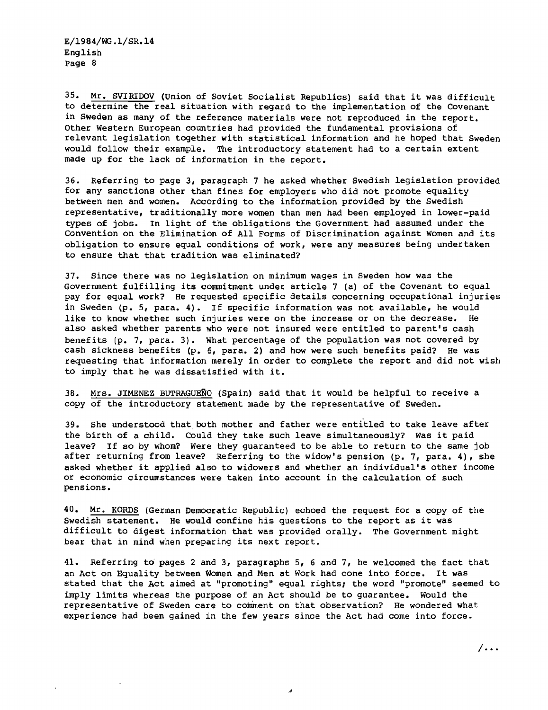35. Mr. SVIRIDOV (Union of Soviet Socialist Republics) said that it was difficult to determine the real situation with regard to the implementation of the Covenant in Sweden as many of the reference materials were not reproduced in the report. Other Western European countries had provided the fundamental provisions of relevant legislation together with statistical information and he hoped that Sweden would follow their example. The introductory statement had to a certain extent made up for the lack of information in the report.

36. Referring to page 3, paragraph 7 he asked whether Swedish legislation provided for any sanctions other than fines for employers who did not promote equality between men and women. According to the information provided by the Swedish representative, traditionally more women than men had been employed in lower-paid types of jobs. In light of the obligations the Government had assumed under the Convention on the Elimination of All Forms of Discrimination against Women and its obligation to ensure equal conditions of work, were any measures being undertaken to ensure that that tradition was eliminated?

37. Since there was no legislation on minimum wages in Sweden how was the Government fulfilling its commitment under article 7 (a) of the Covenant to equal pay for equal work? He requested specific details concerning occupational injuries in Sweden (p. 5, para. 4). If specific information was not available, he would like to know whether such injuries were on the increase or on the decrease. He also asked whether parents who were not insured were entitled to parent's cash benefits (p. 7, para. 3). What percentage of the population was not covered by cash sickness benefits (p. 6, para. 2) and how were such benefits paid? He was requesting that information merely in order to complete the report and did not wish to imply that he was dissatisfied with it.

38. Mrs. JIMENEZ BUTRAGUENO (Spain) said that it would be helpful to receive <sup>a</sup> copy of the introductory statement made by the representative of Sweden.

39. She understood that both mother and father were entitled to take leave after the birth of <sup>a</sup> child. Could they take such leave simultaneously? Was it paid leave? If so by whom? Were they guaranteed to be able to return to the same job after returning from leave? Referring to the widow's pension (p. 7, para. 4), she asked whether it applied also to widowers and whether an individual's other income or economic circumstances were taken into account in the calculation of such pensions.

40. Mr. KORDS (German Democratic Republic) echoed the request for a copy of the Swedish statement. He would confine his questions to the report as it was difficult to digest information that was provided orally. The Government might bear that in mind when preparing its next report.

41. Referring to pages 2 and 3, paragraphs 5, 6 and 7, he welcomed the fact that an Act on Equality between Women and Men at Work had cone into force. It was stated that the Act aimed at "promoting" equal rights; the word "promote" seemed to imply limits whereas the purpose of an Act should be to guarantee. Would the representative of Sweden care to comment on that observation? He wondered what experience had been gained in the few years since the Act had come into force.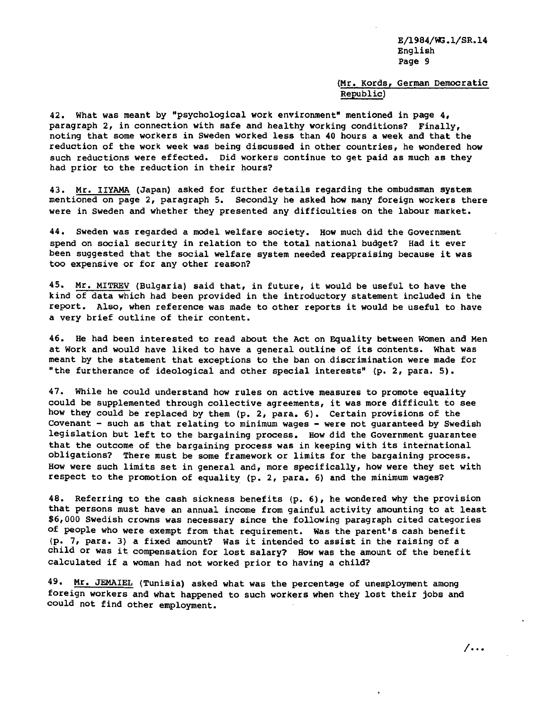## (Mr. Kords, German Democratic Republic)

42. What was meant by "psychological work environment" mentioned in page 4, paragraph 2, in connection with safe and healthy working conditions? Finally, noting that some workers in Sweden worked less than 40 hours a week and that the reduction of the work week was being discussed in other countries, he wondered how such reductions were effected. Did workers continue to get paid as much as they had prior to the reduction in their hours?

43. Mr. IIYAMA (Japan) asked for further details regarding the ombudsman system mentioned on page 2, paragraph 5. Secondly he asked how many foreign workers there were in Sweden and whether they presented any difficulties on the labour market.

44. Sweden was regarded a model welfare society. How much did the Government spend on social security in relation to the total national budget? Had it ever been suggested that the social welfare system needed reappraising because it was too expensive or for any other reason?

45. Mr. MITREV (Bulgaria) said that, in future, it would be useful to have the kind of data which had been provided in the introductory statement included in the report. Also, when reference was made to other reports it would be useful to have a very brief outline of their content.

46. He had been interested to read about the Act on Equality between Women and Men at Work and would have liked to have <sup>a</sup> general outline of its contents. What was meant by the statement that exceptions to the ban on.discrimination were made for "the furtherance of ideologicai and other special interests" (p. 2, para. 5).

47. While he could understand how rules on active measures to promote equality could be supplemented through collective agreements, it was more difficult to see how they could be replaced by them (p. 2, para. 6). Certain provisions of the Covenant - such as that relating to minimum wages - were not guaranteed by Swedish legislation but left to the bargaining process. How did the Government guarantee that the outcome of the bargaining process was in keeping with its international obligations? There must be some framework or limits for the bargaining process. How were such limits set in general and, more specifically, how were they set with respect to the promotion of equality (p. 2, para. 6) and the minimum wages?

48. Referring to the cash sickness benefits (p. 6), he wondered why the provision that persons must have an annual income from gainful activity amounting to at least \$6,000 Swedish crowns was necessary since the following paragraph cited categories of people who were exempt from that requirement. Was the parent's cash benefit (p. 7, para. 3) <sup>a</sup> fixed amount? Was it intended to assist in the raising of <sup>a</sup> child or was it compensation for lost salary? How was the amount of the benefit calculated if a woman had not worked prior to having a child?

49. Mr. JEMAIEL (Tunisia) asked what was the percentage of unemployment among foreign workers and what happened to such workers when they lost their jobs and could not find other employment.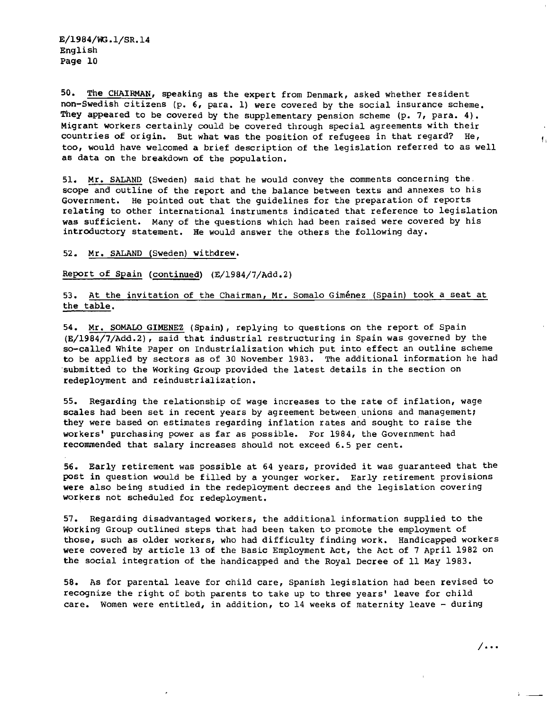50. The CHAIRMAN, speaking as the expert from Denmark, asked whether resident non-Swedish citizens (p. 6, para. 1) were covered by the social insurance scheme. They appeared to be covered by the supplementary pension scheme (p. 7, para. 4). Migrant workers certainly could be covered through special agreements with their countries of origin. But what was the position of refugees in that regard? He, too, would have welcomed a brief description of the legislation referred to as well as data on the breakdown of the population.

51. Mr. SALAND (Sweden) said that he would convey the comments concerning the. scope and outline of the report and the balance between texts and annexes to his Government. He pointed out that the guidelines for the preparation of reports relating to other international instruments indicated that reference to legislation was sufficient. Many of the questions which had been raised were covered by his introductory statement. He would answer the others the following day.

#### 52. Mr. SALAND (Sweden) withdrew.

Report of Spain (continued) (E/1984/7/Add.2)

# 53. At the invitation of the Chairman, Mr. Somalo Giménez (Spain) took a seat at the table.

54. Mr. SOMALO GlMENEZ (Spain), replying to questions on the report of Spain (E/1984/7/Add.2), said that industrial restructuring in Spain was governed by the so-called White Paper on Industrialization which put into effect an outline scheme to be applied by sectors as of 30 November 1983. The additional information he had 'submitted to the Working Group provided the latest details in the section on redeployment and reindustrialization.

55. Regarding the relationship of wage increases to the rate of inflation, wage scales had been set in recent years by agreement between unions and management; they were based on estimates regarding inflation rates and sought to raise the workers' purchasing power as far as possible. For 1984, the Government had recommended that salary increases should not exceed 6.5 per cent.

56. Early retirement was possible at <sup>64</sup> years, provided it was guaranteed that the post in question would be filled by a younger worker. Early retirement provisions were also being studied in the redeployment decrees and the legislation covering workers not scheduled for redeployment.

57. Regarding disadvantaged workers, the additional information supplied to the Working Group outlined steps that had been taken to promote the employment of those, such as older workers, who had difficulty finding work. Handicapped workers were covered by article 13 of the Basic Employment Act, the Act of 7 April 1982 on the social integration of the handicapped and the Royal Decree of 11 May 1983.

58. As for parental leave for child care, Spanish legislation had been revised to recognize the right of both parents to take up to three years' leave for child care. Women were entitled, in addition, to 14 weeks of maternity leave - during

I,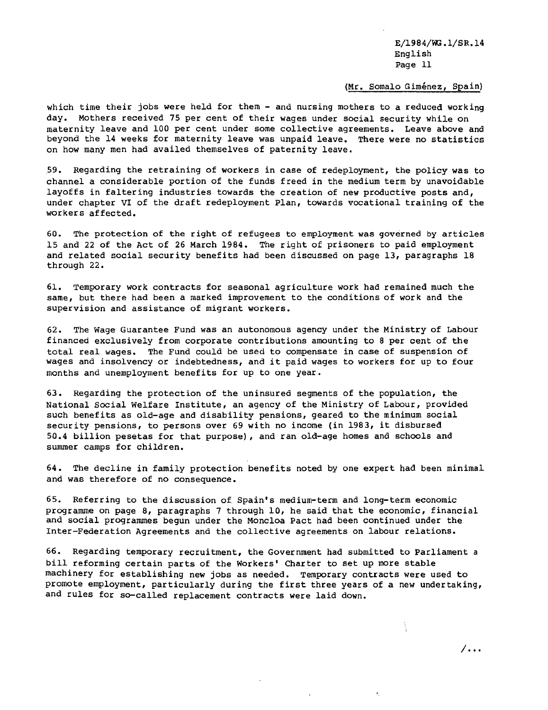# (Mr. Somalo Giménez, Spain)

which time their jobs were held for them - and nursing mothers to a reduced working day. Mothers received 75 per cent of their wages under social security while on maternity leave and 100 per cent under some collective agreements. Leave above and beyond the 14 weeks for maternity leave was unpaid leave. There were no statistics on how many men had availed themselves of paternity leave.

.59. Regarding the retraining of workers in case of redeployment, the policy was to channel a considerable portion of the funds freed in the medium term by unavoidable layoffs in faltering industries towards the creation of new productive posts and, under chapter VI of the draft redeployment Plan, towards vocational training of the workers affected.

60. The protection of the right of refugees to employment was governed by articles 15 and 22 of the Act of 26 March 1984. The right of prisoners to paid employment and related social security benefits had been discussed on page 13, paragraphs 18 through 22.

61. Temporary work contracts for seasonal agriculture work had remained much the same, but there had been a marked improvement to the conditions of work and the supervision and assistance of migrant workers.

62. The Wage Guarantee Fund was an autonomous agency under the Ministry of Labour financed exclusively from corporate contributions amounting to 8 per cent of the total real wages. The Fund could be used to compensate in case of suspension of wages and insolvency or indebtedness, and it paid wages to workers for up to four months and unemployment benefits for up to one year.

63. Regarding the protection of the uninsured segments of the population, the National Social Welfare Institute, an agency of the Ministry of Labour, provided such benefits as old-age and disability pensions, geared to the minimum social security pensions, to persons over <sup>69</sup> with no income (in 1983, it disbursed 50.4 billion pesetas for that purpose), and ran old-age homes and schools and summer camps for children.

64. The decline in family protection benefits noted by one expert had been minimal and was therefore of no consequence.

65. Referring to the discussion of Spain's medium-term and long-term economic programme on page 8, paragraphs 7 through 10, he said that the economic, financial and social programmes begun under the Moncloa Pact had been continued under the Inter-Federation Agreements and the collective agreements on labour relations.

66. Regarding temporary recruitment, the Government had submitted to Parliament a bill reforming certain parts of the Workers' Charter to set up more stable machinery for establishing new jobs as needed. Temporary contracts were used to promote employment, particularly during the first three years of <sup>a</sup> new undertaking, and rules for so-called replacement contracts were laid down.

ţ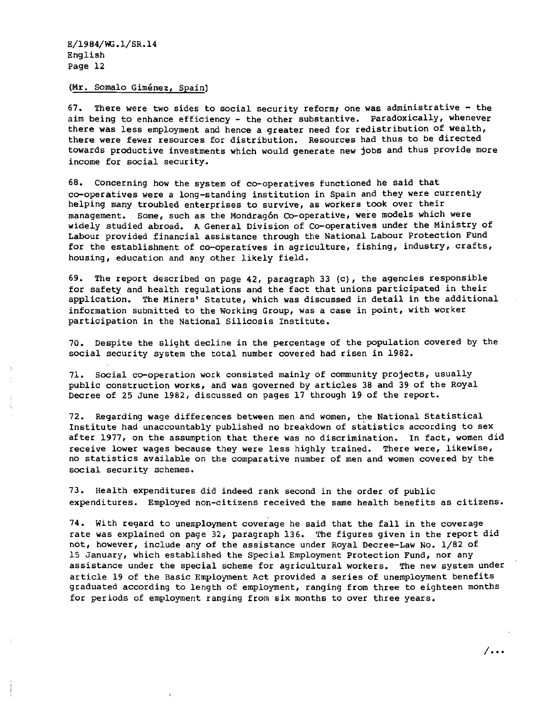## (Mr. Somalo Giménez, Spain)

67. There were two sides to social security reform, one was administrative - the aim being to enhance efficiency - the other substantive. paradoxically, whenever there was less employment and hence a greater need for redistribution of wealth, there were fewer resources for distribution. Resources had thus to be directed towards productive investments which would generate new jobs and thus provide more income for social security.

68. Concerning how the system of co-operatives functioned he said that co-operatives were a long-standing institution in Spain and they were currently helping many troubled enterprises to survive, as workers took over their management. Some, such as the Mondragón Co-operative, were models which were widely studied abroad. A General Division of Co-operatives under the Ministry of Labour provided financial assistance through the National Labour Protection Fund for the establishment of co-operatives in agriculture, fishing, industry, crafts, housing, education and any other likely field.

69. The report described on page 42, paragraph 33 (c), the agencies responsible for safety and health regulations and the fact that unions participated in their application. The Miners' Statute, which was discussed in detail in the additional information submitted to the Working Group, was a case in point, with worker participation in the National Silicosis Institute.

70. Despite the slight decline in the percentage of the population covered by the social security system the total number covered had risen in 1982.

71. Social co-operation work consisted mainly of community projects, usually public construction works, and was governed by articles 38 and 39 of the Royal Decree of 25 June 1982, discussed on pages 17 through 19 of the report.

72. Regarding wage differences between men and women, the National statistical Institute had unaccountably published no breakdown of statistics according to sex after 1977, on the assumption that there was no discrimination. In fact, women did receive lower wages because they were less highly trained. There were, likewise, no statistics available on the comparative number of men and women covered by the social security schemes.

73. Health expenditures did indeed rank second in the order of public expenditures. Employed non-citizens received the same health benefits as citizens.

74. With regard to unemployment coverage he said that the fall in the coverage rate was explained on page 32, paragraph 136. The figures given in the report did not, however, include any of the assistance under Royal Decree-Law No. 1/82 of 15 January, which established the Special Employment Protection Fund, nor any assistance under the special scheme for agricultural workers. The new system under article 19 of the Basic Employment Act provided a series of unemployment benefits graduated according to length of employment, ranging from three to eighteen months for periods of employment ranging from six months to over three years.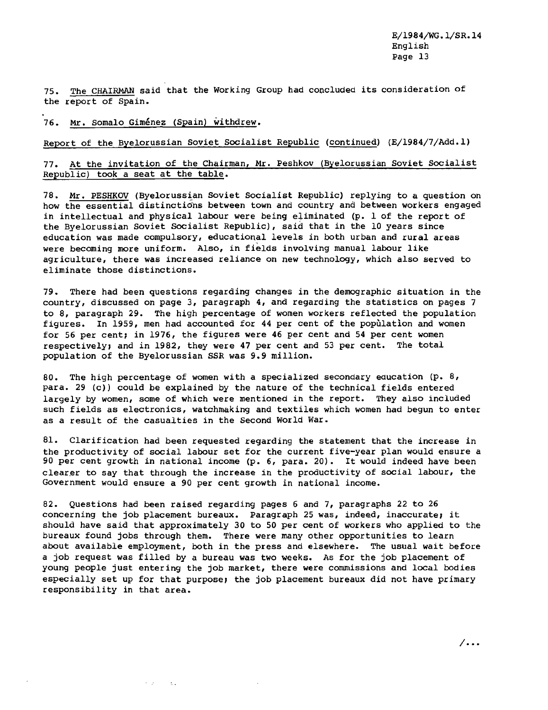75. The CHAIRMAN said that the Working Group had concluded its consideration of the report of Spain.

76. Mr. Somalo Giménez (Spain) withdrew.

 $\sim 10^{11}$  m  $^{-1}$  m  $^{-1}$ 

# Report of the Byelorussian Soviet Socialist Republic (continued) (E/1984/7/Add.l)

# 77. At the invitation of the Chairman, Mr. Peshkov (Byelorussian Soviet Socialist Republic) took a seat at the table.

78. Mr. PESHKOV (Byelorussian Soviet Socialist Republic) replying to a question on how the essential distinctions between town and country and between workers engaged in intellectual and physical labour were being eliminated (p.  $1$  of the report of the Byelorussian Soviet Socialist Republic), said that in the 10 years since education was made compulsory, educational levels in both urban and rural areas were becoming more uniform. Also, in fields involving manual labour like agriculture, there was increased reliance on new technology, which also served to eliminate those distinctions.

79. There had been questions regarding changes in the demographic situation in the country, discussed on page 3, paragraph 4, and regarding the statistics on pages 7 to 8, paragraph 29. The high percentage of women workers reflected the population figures. In 1959, men had accounted for 44 per cent of the population and women for 56 per cent; in 1976, the figures were 46 per cent and 54 per cent women respectively; and in 1982, they were 47 per cent and 53 per cent. The total POPulation of the Byelorussian SSR was 9.9 million.

80. The high percentage of women with a specialized secondary eaucation (p. 8, para. 29 (c)) could be explained by the nature of the technical fields entered largely by women, some of which were mentioned in the report. They also included such fields as electronics, watchmaking and textiles which women had begun to enter as a result of the casualties in the Second World War.

81. Clarification had been requested regarding the statement that the increase in the productivity of social labour set for the current five-year plan would ensure a <sup>90</sup> per cent growth in national income (p. 6, para. 20). It would indeed have been clearer to say that through the increase in the productivity of social labour, the Government would ensure a 90 per cent growth in national income.

82. Questions had been raised regarding pages 6 and 7, paragraphs 22 to 26 concerning the job placement bureaux. Paragraph 25 was, indeed, inaccurate; it should have said that approximately 30 to 50 per cent of workers who applied to the bureaux found jobs through them. There were many other opportunities to learn about available employment, both in the press and elsewhere. The usual wait before a job request was filled by a bureau was two weeks. As for the job placement of young people just entering the job market, there were commissions and local bodies especially set up for that purpose; the job placement bureaux did not have primary responsibility in that area.